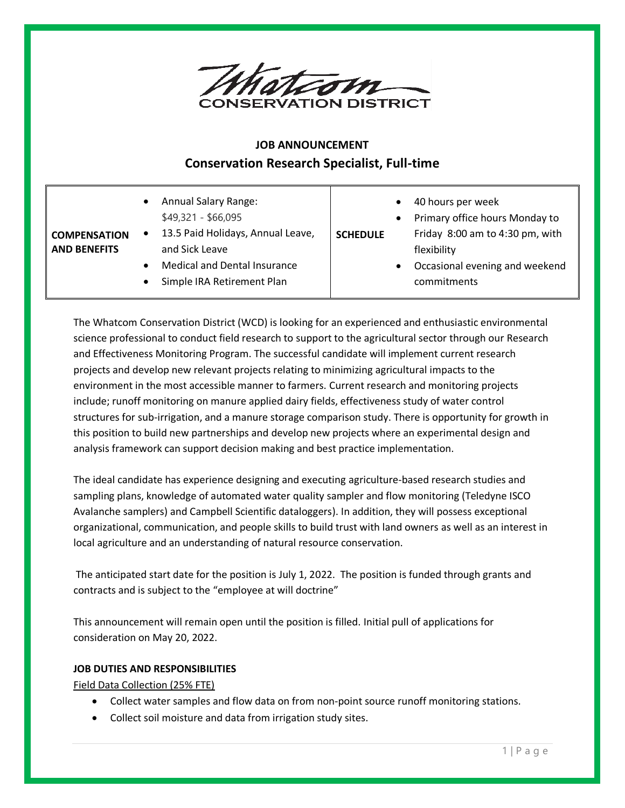

# **JOB ANNOUNCEMENT Conservation Research Specialist, Full-time**

| <b>COMPENSATION</b><br><b>AND BENEFITS</b> | <b>Annual Salary Range:</b><br>$$49,321 - $66,095$<br>13.5 Paid Holidays, Annual Leave,<br>$\bullet$<br>and Sick Leave<br><b>Medical and Dental Insurance</b><br>Simple IRA Retirement Plan<br>$\bullet$ | 40 hours per week<br>$\bullet$<br>Primary office hours Monday to<br>$\bullet$<br>Friday 8:00 am to 4:30 pm, with<br><b>SCHEDULE</b><br>flexibility<br>Occasional evening and weekend<br>$\bullet$<br>commitments |
|--------------------------------------------|----------------------------------------------------------------------------------------------------------------------------------------------------------------------------------------------------------|------------------------------------------------------------------------------------------------------------------------------------------------------------------------------------------------------------------|
|--------------------------------------------|----------------------------------------------------------------------------------------------------------------------------------------------------------------------------------------------------------|------------------------------------------------------------------------------------------------------------------------------------------------------------------------------------------------------------------|

The Whatcom Conservation District (WCD) is looking for an experienced and enthusiastic environmental science professional to conduct field research to support to the agricultural sector through our Research and Effectiveness Monitoring Program. The successful candidate will implement current research projects and develop new relevant projects relating to minimizing agricultural impacts to the environment in the most accessible manner to farmers. Current research and monitoring projects include; runoff monitoring on manure applied dairy fields, effectiveness study of water control structures for sub-irrigation, and a manure storage comparison study. There is opportunity for growth in this position to build new partnerships and develop new projects where an experimental design and analysis framework can support decision making and best practice implementation.

The ideal candidate has experience designing and executing agriculture-based research studies and sampling plans, knowledge of automated water quality sampler and flow monitoring (Teledyne ISCO Avalanche samplers) and Campbell Scientific dataloggers). In addition, they will possess exceptional organizational, communication, and people skills to build trust with land owners as well as an interest in local agriculture and an understanding of natural resource conservation.

The anticipated start date for the position is July 1, 2022. The position is funded through grants and contracts and is subject to the "employee at will doctrine"

This announcement will remain open until the position is filled. Initial pull of applications for consideration on May 20, 2022.

# **JOB DUTIES AND RESPONSIBILITIES**

Field Data Collection (25% FTE)

- Collect water samples and flow data on from non-point source runoff monitoring stations.
- Collect soil moisture and data from irrigation study sites.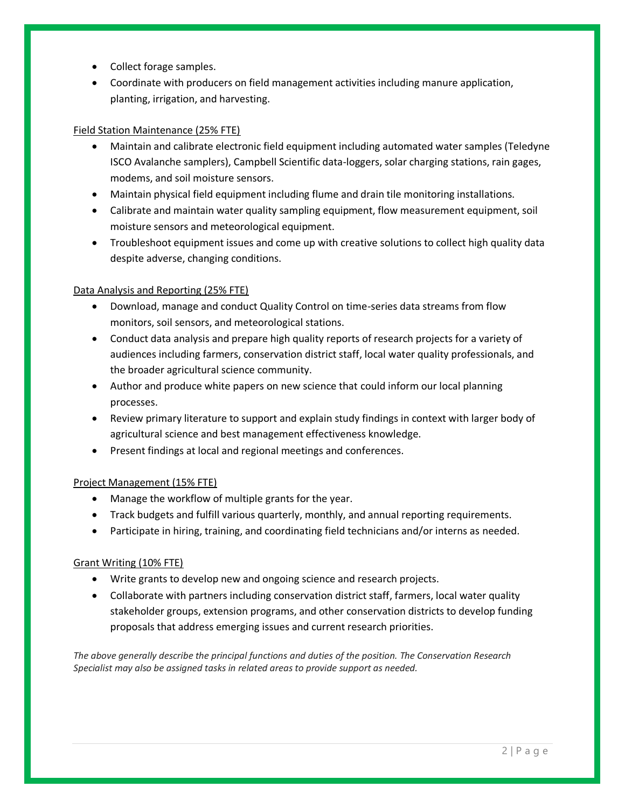- Collect forage samples.
- Coordinate with producers on field management activities including manure application, planting, irrigation, and harvesting.

## Field Station Maintenance (25% FTE)

- Maintain and calibrate electronic field equipment including automated water samples (Teledyne ISCO Avalanche samplers), Campbell Scientific data-loggers, solar charging stations, rain gages, modems, and soil moisture sensors.
- Maintain physical field equipment including flume and drain tile monitoring installations.
- Calibrate and maintain water quality sampling equipment, flow measurement equipment, soil moisture sensors and meteorological equipment.
- Troubleshoot equipment issues and come up with creative solutions to collect high quality data despite adverse, changing conditions.

## Data Analysis and Reporting (25% FTE)

- Download, manage and conduct Quality Control on time-series data streams from flow monitors, soil sensors, and meteorological stations.
- Conduct data analysis and prepare high quality reports of research projects for a variety of audiences including farmers, conservation district staff, local water quality professionals, and the broader agricultural science community.
- Author and produce white papers on new science that could inform our local planning processes.
- Review primary literature to support and explain study findings in context with larger body of agricultural science and best management effectiveness knowledge.
- Present findings at local and regional meetings and conferences.

## Project Management (15% FTE)

- Manage the workflow of multiple grants for the year.
- Track budgets and fulfill various quarterly, monthly, and annual reporting requirements.
- Participate in hiring, training, and coordinating field technicians and/or interns as needed.

#### Grant Writing (10% FTE)

- Write grants to develop new and ongoing science and research projects.
- Collaborate with partners including conservation district staff, farmers, local water quality stakeholder groups, extension programs, and other conservation districts to develop funding proposals that address emerging issues and current research priorities.

*The above generally describe the principal functions and duties of the position. The Conservation Research Specialist may also be assigned tasks in related areas to provide support as needed.*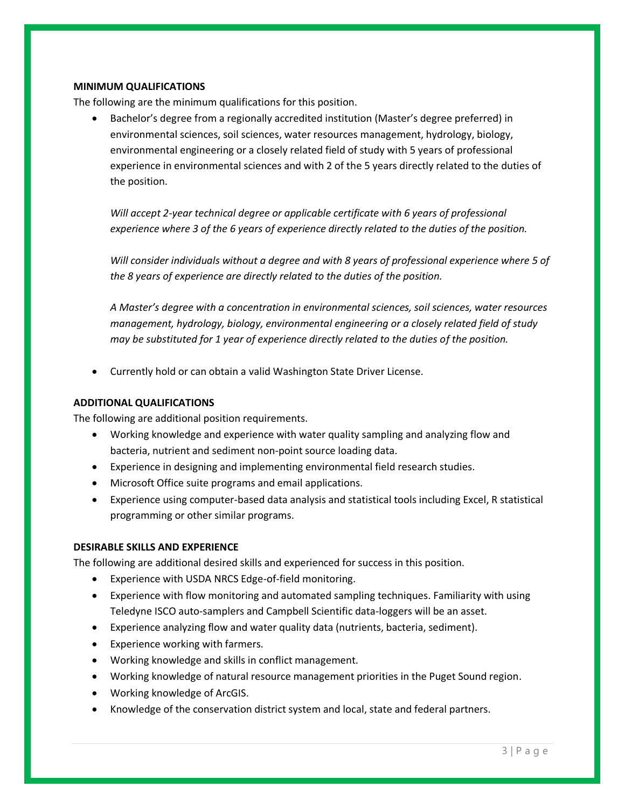### **MINIMUM QUALIFICATIONS**

The following are the minimum qualifications for this position.

 Bachelor's degree from a regionally accredited institution (Master's degree preferred) in environmental sciences, soil sciences, water resources management, hydrology, biology, environmental engineering or a closely related field of study with 5 years of professional experience in environmental sciences and with 2 of the 5 years directly related to the duties of the position.

*Will accept 2-year technical degree or applicable certificate with 6 years of professional experience where 3 of the 6 years of experience directly related to the duties of the position.*

*Will consider individuals without a degree and with 8 years of professional experience where 5 of the 8 years of experience are directly related to the duties of the position.* 

*A Master's degree with a concentration in environmental sciences, soil sciences, water resources management, hydrology, biology, environmental engineering or a closely related field of study may be substituted for 1 year of experience directly related to the duties of the position.*

Currently hold or can obtain a valid Washington State Driver License.

# **ADDITIONAL QUALIFICATIONS**

The following are additional position requirements.

- Working knowledge and experience with water quality sampling and analyzing flow and bacteria, nutrient and sediment non-point source loading data.
- Experience in designing and implementing environmental field research studies.
- Microsoft Office suite programs and email applications.
- Experience using computer-based data analysis and statistical tools including Excel, R statistical programming or other similar programs.

# **DESIRABLE SKILLS AND EXPERIENCE**

The following are additional desired skills and experienced for success in this position.

- Experience with USDA NRCS Edge-of-field monitoring.
- Experience with flow monitoring and automated sampling techniques. Familiarity with using Teledyne ISCO auto-samplers and Campbell Scientific data-loggers will be an asset.
- Experience analyzing flow and water quality data (nutrients, bacteria, sediment).
- Experience working with farmers.
- Working knowledge and skills in conflict management.
- Working knowledge of natural resource management priorities in the Puget Sound region.
- Working knowledge of ArcGIS.
- Knowledge of the conservation district system and local, state and federal partners.